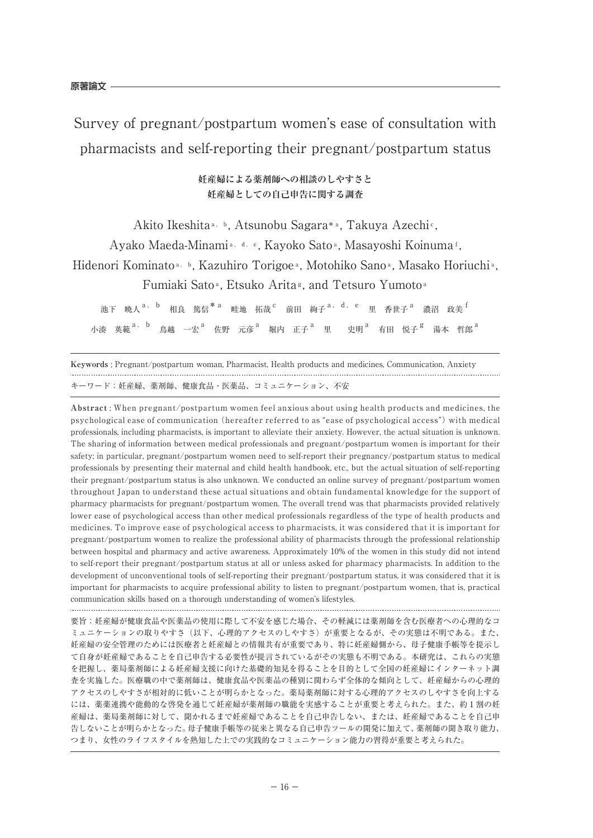Survey of pregnant/postpartum women's ease of consultation with pharmacists and self-reporting their pregnant/postpartum status

> **妊産婦による薬剤師への相談のしやすさと 妊産婦としての自己申告に関する調査**

Akito Ikeshita<sup>a, b</sup>, Atsunobu Sagara\*<sup>a</sup>, Takuya Azechi<sup>c</sup>,

Ayako Maeda-Minami<sup>a, d, e</sup>, Kayoko Sato<sup>a</sup>, Masayoshi Koinuma<sup>f</sup>,

Hidenori Kominato<sup>a, b</sup>, Kazuhiro Torigoe<sup>a</sup>, Motohiko Sano<sup>a</sup>, Masako Horiuchi<sup>a</sup>,

Fumiaki Sato<sup>a</sup>, Etsuko Arita<sup>g</sup>, and Tetsuro Yumoto<sup>a</sup>

池下 暁人<sup>a, b</sup> 相良 篤信<sup>\* a</sup> 畦地 拓哉<sup>c</sup> 前田 絢子<sup>a, d, e</sup> 里 香世子<sup>a</sup> 濃沼 政美<sup>f</sup> 小湊 英範 $a$ ,  $b$  鳥越 一宏 $^a$  佐野 元彦 $^a$  堀内 正子 $^a$  里 史明 $^a$  有田 悦子 $^g$  湯本 哲郎 $^a$ 

**Keywords** ; Pregnant/postpartum woman, Pharmacist, Health products and medicines, Communication, Anxiety キーワード;妊産婦、薬剤師、健康食品・医薬品、コミュニケーション、不安

**Abstract** ; When pregnant/postpartum women feel anxious about using health products and medicines, the psychological ease of communication (hereafter referred to as "ease of psychological access") with medical professionals, including pharmacists, is important to alleviate their anxiety. However, the actual situation is unknown. The sharing of information between medical professionals and pregnant/postpartum women is important for their safety; in particular, pregnant/postpartum women need to self-report their pregnancy/postpartum status to medical professionals by presenting their maternal and child health handbook, etc., but the actual situation of self-reporting their pregnant/postpartum status is also unknown. We conducted an online survey of pregnant/postpartum women throughout Japan to understand these actual situations and obtain fundamental knowledge for the support of pharmacy pharmacists for pregnant/postpartum women. The overall trend was that pharmacists provided relatively lower ease of psychological access than other medical professionals regardless of the type of health products and medicines. To improve ease of psychological access to pharmacists, it was considered that it is important for pregnant/postpartum women to realize the professional ability of pharmacists through the professional relationship between hospital and pharmacy and active awareness. Approximately 10% of the women in this study did not intend to self-report their pregnant/postpartum status at all or unless asked for pharmacy pharmacists. In addition to the development of unconventional tools of self-reporting their pregnant/postpartum status, it was considered that it is important for pharmacists to acquire professional ability to listen to pregnant/postpartum women, that is, practical communication skills based on a thorough understanding of women's lifestyles. 

要旨;妊産婦が健康食品や医薬品の使用に際して不安を感じた場合、その軽減には薬剤師を含む医療者への心理的なコ ミュニケーションの取りやすさ(以下、心理的アクセスのしやすさ)が重要となるが、その実態は不明である。また、 妊産婦の安全管理のためには医療者と妊産婦との情報共有が重要であり、特に妊産婦側から、母子健康手帳等を提示し て自身が妊産婦であることを自己申告する必要性が提言されているがその実態も不明である。本研究は、これらの実態 を把握し、薬局薬剤師による妊産婦支援に向けた基礎的知見を得ることを目的として全国の妊産婦にインターネット調 査を実施した。医療職の中で薬剤師は、健康食品や医薬品の種別に関わらず全体的な傾向として、妊産婦からの心理的 アクセスのしやすさが相対的に低いことが明らかとなった。薬局薬剤師に対する心理的アクセスのしやすさを向上する には、薬薬連携や能動的な啓発を通じて妊産婦が薬剤師の職能を実感することが重要と考えられた。また、約1割の妊 産婦は、薬局薬剤師に対して、聞かれるまで妊産婦であることを自己申告しない、または、妊産婦であることを自己申 告しないことが明らかとなった。母子健康手帳等の従来と異なる自己申告ツールの開発に加えて、薬剤師の聞き取り能力、 つまり、女性のライフスタイルを熟知した上での実践的なコミュニケーション能力の習得が重要と考えられた。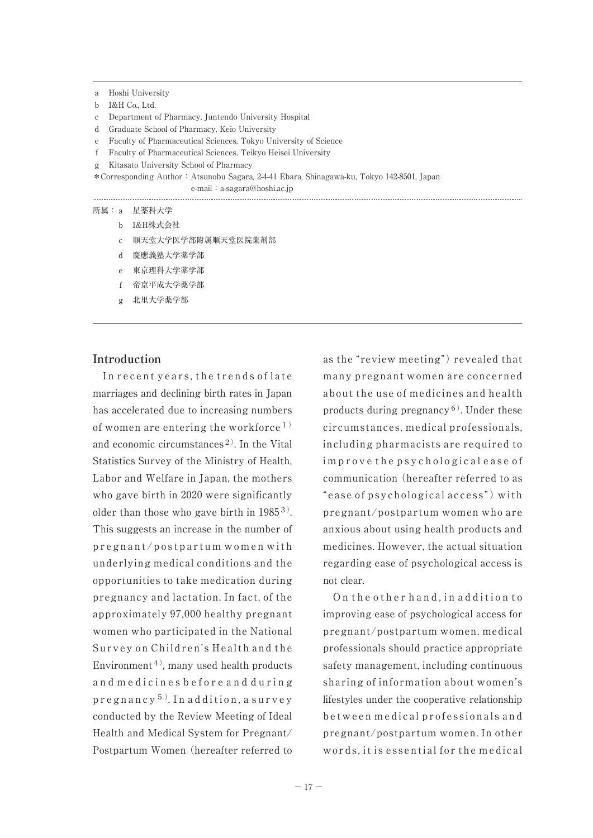a Hoshi University

- b I&H Co., Ltd.
- c Department of Pharmacy, Juntendo University Hospital
- d Graduate School of Pharmacy, Keio University
- e Faculty of Pharmaceutical Sciences, Tokyo University of Science
- f Faculty of Pharmaceutical Sciences, Teikyo Heisei University
- g Kitasato University School of Pharmacy

\*Corresponding Author:Atsunobu Sagara, 2-4-41 Ebara, Shinagawa-ku, Tokyo 142-8501, Japan e-mail: a-sagara@hoshi.ac.jp

- 所属:a 星薬科大学
	- b I&H株式会社
	- c 順天堂大学医学部附属順天堂医院薬剤部
	- d 慶應義塾大学薬学部
	- e 東京理科大学薬学部
	- f 帝京平成大学薬学部
	- g 北里大学薬学部

#### **Introduction**

In recent years, the trends of late marriages and declining birth rates in Japan has accelerated due to increasing numbers of women are entering the workforce<sup>1)</sup> and economic circumstances<sup>2)</sup>. In the Vital Statistics Survey of the Ministry of Health, Labor and Welfare in Japan, the mothers who gave birth in 2020 were significantly older than those who gave birth in 19853). This suggests an increase in the number of  $pregnant/postpartum women with$ underlying medical conditions and the opportunities to take medication during pregnancy and lactation. In fact, of the approximately 97,000 healthy pregnant women who participated in the National Survey on Children's Health and the Environment<sup>4)</sup>, many used health products and medicines before and during  $pregnancy<sup>5</sup>$ . In addition, a survey conducted by the Review Meeting of Ideal Health and Medical System for Pregnant/ Postpartum Women (hereafter referred to

as the "review meeting") revealed that many pregnant women are concerned about the use of medicines and health products during pregnancy<sup>6)</sup>. Under these circumstances, medical professionals, including pharmacists are required to im prove the psychological ease of communication (hereafter referred to as "ease of psychological access") with pregnant/postpartum women who are anxious about using health products and medicines. However, the actual situation regarding ease of psychological access is not clear.

On the other hand, in addition to improving ease of psychological access for pregnant/postpartum women, medical professionals should practice appropriate safety management, including continuous sharing of information about women's lifestyles under the cooperative relationship between medical professionals and pregnant/postpartum women. In other words, it is essential for the medical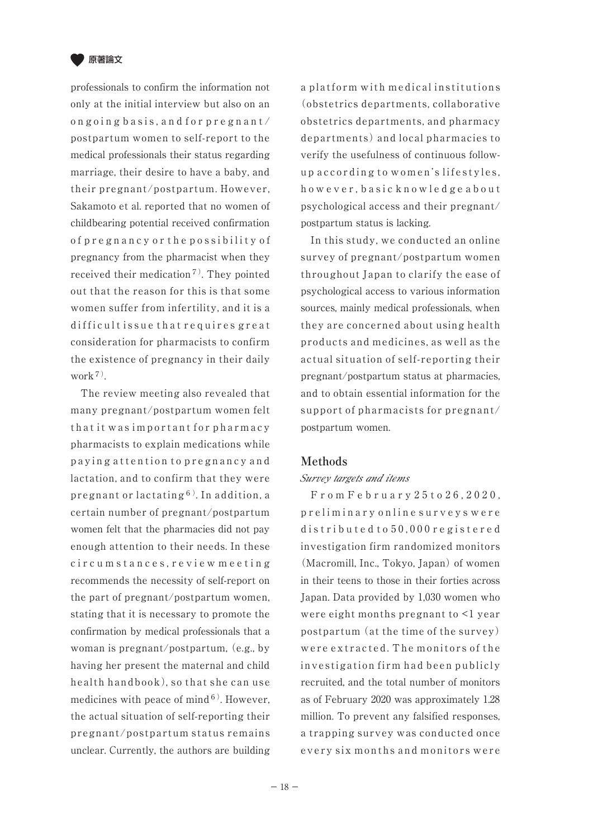

professionals to confirm the information not only at the initial interview but also on an ongoing basis, and for pregnant/ postpartum women to self-report to the medical professionals their status regarding marriage, their desire to have a baby, and their pregnant/postpartum. However, Sakamoto et al. reported that no women of childbearing potential received confirmation o f p r e g n a n c y o r t h e p o s s i b i l i t y o f pregnancy from the pharmacist when they received their medication<sup>7)</sup>. They pointed out that the reason for this is that some women suffer from infertility, and it is a difficult issue that requires great consideration for pharmacists to confirm the existence of pregnancy in their daily work7).

 The review meeting also revealed that many pregnant/postpartum women felt that it was important for pharmacy pharmacists to explain medications while p a y ingattention to pregnancy and lactation, and to confirm that they were pregnant or lactating6). In addition, a certain number of pregnant/postpartum women felt that the pharmacies did not pay enough attention to their needs. In these circum stances, review meeting recommends the necessity of self-report on the part of pregnant/postpartum women, stating that it is necessary to promote the confirmation by medical professionals that a woman is pregnant/postpartum, (e.g., by having her present the maternal and child health handbook), so that she can use medicines with peace of mind $6$ ). However, the actual situation of self-reporting their pregnant/postpartum status remains unclear. Currently, the authors are building a platform with medical institutions (obstetrics departments, collaborative obstetrics departments, and pharmacy departments) and local pharmacies to verify the usefulness of continuous followup according to women's lifestyles, h owever, basic knowledge about psychological access and their pregnant/ postpartum status is lacking.

 In this study, we conducted an online survey of pregnant/postpartum women throughout Japan to clarify the ease of psychological access to various information sources, mainly medical professionals, when they are concerned about using health products and medicines, as well as the actual situation of self-reporting their pregnant/postpartum status at pharmacies, and to obtain essential information for the support of pharmacists for pregnant/ postpartum women.

## **Methods**

### Survey targets and items

 F r o m F e b r u a r y 2 5 t o 2 6 , 2 0 2 0 , p r e l i m i n a r y o n l i n e s u r v e y s w e r e d is tributed to 50,000 registered investigation firm randomized monitors (Macromill, Inc., Tokyo, Japan) of women in their teens to those in their forties across Japan. Data provided by 1,030 women who were eight months pregnant to <1 year postpartum (at the time of the survey) were extracted. The monitors of the investigation firm had been publicly recruited, and the total number of monitors as of February 2020 was approximately 1.28 million. To prevent any falsified responses, a trapping survey was conducted once every six months and monitors were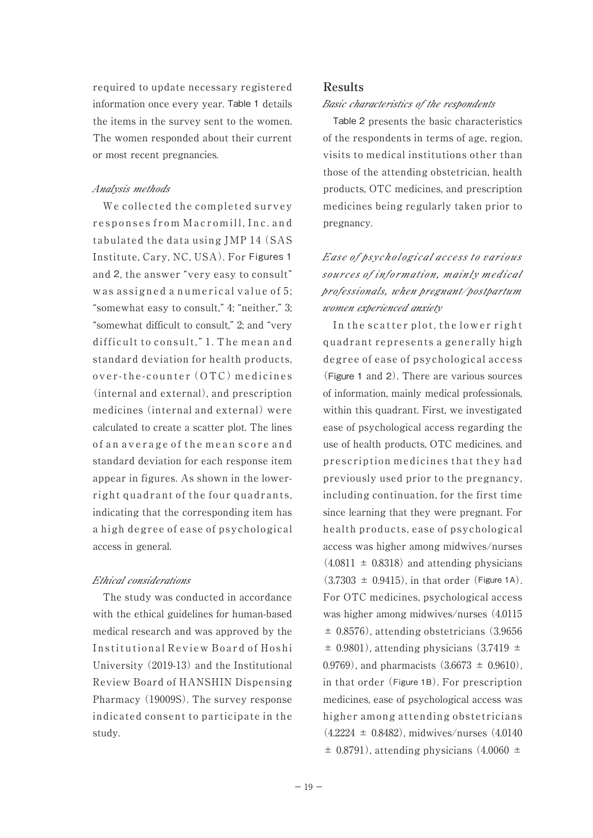required to update necessary registered information once every year. Table 1 details the items in the survey sent to the women. The women responded about their current or most recent pregnancies.

#### Analysis methods

 We collected the completed survey responses from Macromill, Inc. and tabulated the data using JMP 14 (SAS Institute, Cary, NC, USA). For Figures 1 and 2, the answer "very easy to consult" was assigned a numerical value of 5; "somewhat easy to consult," 4; "neither," 3; "somewhat difficult to consult," 2; and "very difficult to consult," 1. The mean and standard deviation for health products, over-the-counter (OTC) medicines (internal and external), and prescription medicines (internal and external) were calculated to create a scatter plot. The lines of an average of the mean score and standard deviation for each response item appear in figures. As shown in the lowerright quadrant of the four quadrants, indicating that the corresponding item has a high degree of ease of psychological access in general.

### Ethical considerations

 The study was conducted in accordance with the ethical guidelines for human-based medical research and was approved by the Institutional Review Board of Hoshi University (2019-13) and the Institutional Review Board of HANSHIN Dispensing Pharmacy (19009S). The survey response indicated consent to participate in the study.

#### **Results**

#### Basic characteristics of the respondents

 Table 2 presents the basic characteristics of the respondents in terms of age, region, visits to medical institutions other than those of the attending obstetrician, health products, OTC medicines, and prescription medicines being regularly taken prior to pregnancy.

Ease of psychological access to various sources of information, mainly medical professionals, when pregnant/postpartum women experienced anxiety

 In the scatter plot, the lower right quadrant represents a generally high degree of ease of psychological access (Figure 1 and 2). There are various sources of information, mainly medical professionals, within this quadrant. First, we investigated ease of psychological access regarding the use of health products, OTC medicines, and prescription medicines that they had previously used prior to the pregnancy, including continuation, for the first time since learning that they were pregnant. For health products, ease of psychological access was higher among midwives/nurses  $(4.0811 \pm 0.8318)$  and attending physicians  $(3.7303 \pm 0.9415)$ , in that order (Figure 1A). For OTC medicines, psychological access was higher among midwives/nurses (4.0115  $\pm$  0.8576), attending obstetricians (3.9656)  $\pm$  0.9801), attending physicians (3.7419  $\pm$ ) 0.9769), and pharmacists  $(3.6673 \pm 0.9610)$ , in that order (Figure 1B). For prescription medicines, ease of psychological access was higher among attending obstetricians  $(4.2224 \pm 0.8482)$ , midwives/nurses  $(4.0140)$  $\pm$  0.8791), attending physicians (4.0060  $\pm$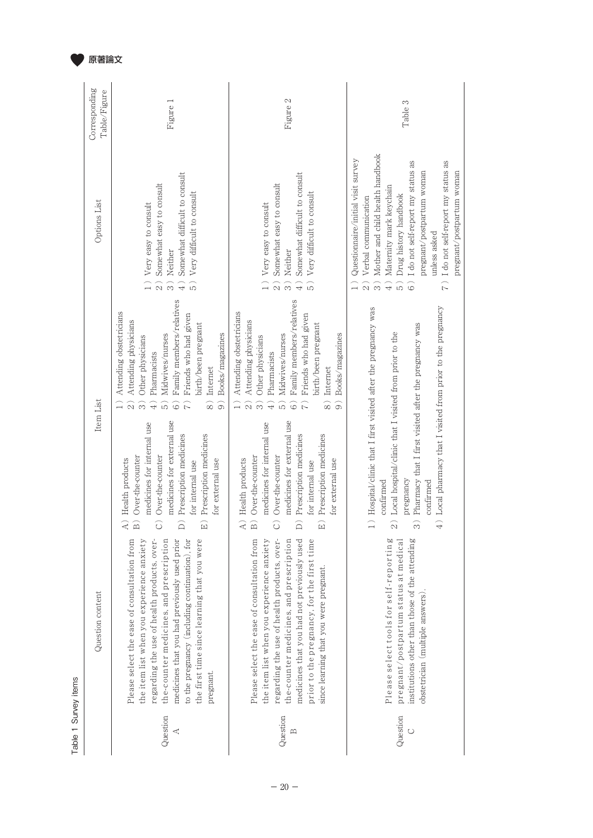|                      | Corresponding<br>Table/Figure | Figure 1                                                                                                                                                                                                                                                                                                                                                                                                                                                                                                                                                                                                                        | 2<br>Figure                                                                                                                                                                                                                                                                                                                                                                                                                                                                                                                                                                                               | S<br>Table:                                                                                                                                                                                                                                                                                                                                                                                  |
|----------------------|-------------------------------|---------------------------------------------------------------------------------------------------------------------------------------------------------------------------------------------------------------------------------------------------------------------------------------------------------------------------------------------------------------------------------------------------------------------------------------------------------------------------------------------------------------------------------------------------------------------------------------------------------------------------------|-----------------------------------------------------------------------------------------------------------------------------------------------------------------------------------------------------------------------------------------------------------------------------------------------------------------------------------------------------------------------------------------------------------------------------------------------------------------------------------------------------------------------------------------------------------------------------------------------------------|----------------------------------------------------------------------------------------------------------------------------------------------------------------------------------------------------------------------------------------------------------------------------------------------------------------------------------------------------------------------------------------------|
|                      | <b>Options</b> List           | Somewhat difficult to consult<br>Somewhat easy to consult<br>Very difficult to consult<br>Very easy to consult<br>Neither<br>$\widehat{5}$<br>$\widehat{4}$<br>$\widehat{\mathfrak{a}}$<br>$\widehat{3}$                                                                                                                                                                                                                                                                                                                                                                                                                        | Somewhat difficult to consult<br>Somewhat easy to consult<br>Very difficult to consult<br>Very easy to consult<br>Neither<br>$\widehat{\mathcal{Z}}$<br>$\widehat{+}$<br>$\widehat{5}$<br>္ခြ                                                                                                                                                                                                                                                                                                                                                                                                             | Mother and child health handbook<br>Questionnaire/initial visit survey<br>I do not self-report my status as<br>I do not self-report my status as<br>pregnant/postpartum woman<br>pregnant/postpartum woman<br>Maternity mark keychain<br>Drug history handbook<br>Verbal communication<br>unless asked<br>$\widehat{3}$<br>$\widehat{z}$<br>$\overline{4}$ )<br>$\widehat{5}$<br>ି<br>$\sim$ |
|                      | Item List                     | Family members/relatives<br>Attending obstetricians<br>Friends who had given<br>Attending physicians<br>birth/been pregnant<br>Books/magazines<br>Midwives/nurses<br>Other physicians<br>Pharmacists<br>Internet<br>$\widehat{\otimes}$<br>$\widehat{\Theta}$<br>$\widehat{+}$<br>$\widehat{\circ}$<br>$\alpha$<br>ίŋ<br>$\infty$<br>medicines for external use<br>medicines for internal use<br>Prescription medicines<br>Prescription medicines<br>Over-the-counter<br>Over-the-counter<br>A) Health products<br>for external use<br>for internal use<br>$\widehat{B}$<br>$\widehat{\circ}$<br>$\widehat{E}$<br>$\widehat{D}$ | Family members/relatives<br>Attending obstetricians<br>Friends who had given<br>Attending physicians<br>birth/been pregnant<br>Books/magazines<br>Midwives/nurses<br>Other physicians<br>Pharmacists<br>Internet<br>$\widehat{+}$<br>$\widehat{\otimes}$<br>6<br>$\alpha$<br>$\sim$<br>َماَ<br>َفَ<br>medicines for external use<br>medicines for internal use<br>Prescription medicines<br>Prescription medicines<br>Over-the-counter<br>Over-the-counter<br>A) Health products<br>for external use<br>for internal use<br>$\widehat{B}$<br>$\widehat{E}$<br>$\widehat{\circ}$<br>$\widehat{\mathsf{d}}$ | 4) Local pharmacy that I visited from prior to the pregnancy<br>1) Hospital/clinic that I first visited after the pregnancy was<br>Pharmacy that I first visited after the pregnancy was<br>Local hospital/clinic that I visited from prior to the<br>pregnancy<br>confirmed<br>confirmed<br>$\widehat{2}$<br>$\widehat{\mathfrak{D}}$                                                       |
| Table 1 Survey items | Question content              | the first time since learning that you were<br>Please select the ease of consultation from<br>medicines that you had previously used prior<br>to the pregnancy (including continuation), for<br>the item list when you experience anxiety<br>regarding the use of health products, over-<br>the-counter medicines, and prescription<br>pregnant.                                                                                                                                                                                                                                                                                | Please select the ease of consultation from<br>regarding the use of health products, over-<br>prior to the pregnancy, for the first time<br>the item list when you experience anxiety<br>the-counter medicines, and prescription<br>medicines that you had not previously used<br>since learning that you were pregnant                                                                                                                                                                                                                                                                                   | Please select tools for self-reporting<br>pregnant/postpartum status at medical<br>institutions other than those of the attending<br>obstetrician (multiple answers).                                                                                                                                                                                                                        |
|                      |                               | Question<br>⋖                                                                                                                                                                                                                                                                                                                                                                                                                                                                                                                                                                                                                   | Question<br>$\mathbb{E}$                                                                                                                                                                                                                                                                                                                                                                                                                                                                                                                                                                                  | Question<br>$\circ$                                                                                                                                                                                                                                                                                                                                                                          |

原著論文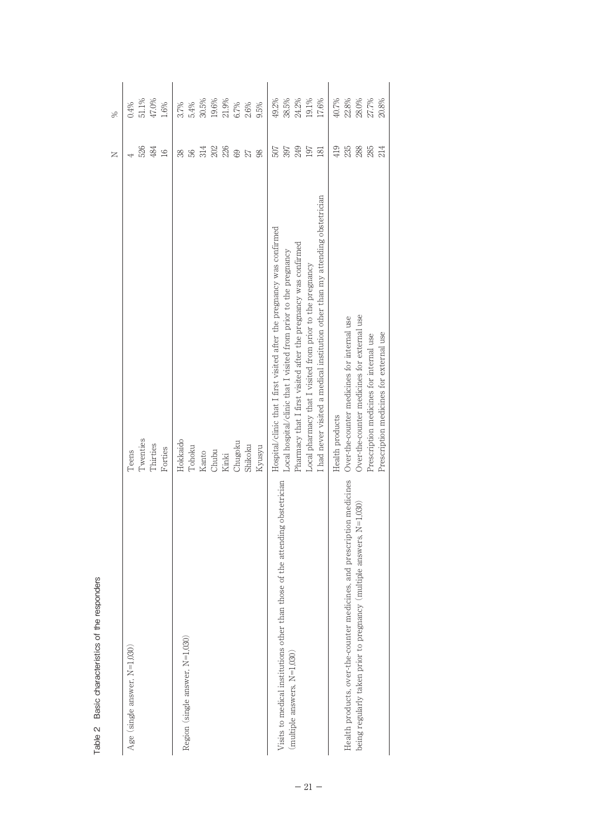|                                                                               |                                                                                | z                 | $\frac{8}{2}$ |
|-------------------------------------------------------------------------------|--------------------------------------------------------------------------------|-------------------|---------------|
| Age (single answer, $N=1,030$ )                                               | Teens                                                                          |                   | 0.4%          |
|                                                                               | Twenties                                                                       | 526               | 51.1%         |
|                                                                               | Thirties                                                                       | 484               | 47.0%         |
|                                                                               | Forties                                                                        | 16                | 1.6%          |
|                                                                               | Hokkaido                                                                       | 38                | 3.7%          |
| Region (single answer, N=1,030)                                               | Tohoku                                                                         | 99                | 5.4%          |
|                                                                               | Kanto                                                                          | 314               | 30.5%         |
|                                                                               | Chubu                                                                          |                   | 19.6%         |
|                                                                               | Kinki                                                                          | $\frac{202}{236}$ | 21.9%         |
|                                                                               | Chugoku                                                                        | 69                | 6.7%          |
|                                                                               | Shikoku                                                                        | 27                | 2.6%          |
|                                                                               | Kyusyu                                                                         | 98                | 9.5%          |
|                                                                               | Hospital/clinic that I first visited after the pregnancy was confirmed         | 507               | 49.2%         |
| Visits to medical institutions other than those of the attending obstetrician | Local hospital/clinic that I visited from prior to the pregnancy               | 397               | 38.5%         |
| (multiple answers, $N=1,030$ )                                                | Pharmacy that I first visited after the pregnancy was confirmed                | 249               | 24.2%         |
|                                                                               | Local pharmacy that I visited from prior to the pregnancy                      | 197               | 19.1%         |
|                                                                               | I had never visited a medical institution other than my attending obstetrician | 181               | 17.6%         |
|                                                                               | Health products                                                                | 419               | 40.7%         |
| Health products, over-the-counter medicines, and prescription medicines       | Over-the-counter medicines for internal use                                    | 235               | 22.8%         |
| being regularly taken prior to pregnancy (multiple answers, N=1,030)          | Over-the-counter medicines for external use                                    | 288               | 28.0%         |
|                                                                               | Prescription medicines for internal use                                        | 285               | 27.7%         |
|                                                                               | Prescription medicines for external use                                        | 214               | 20.8%         |
|                                                                               |                                                                                |                   |               |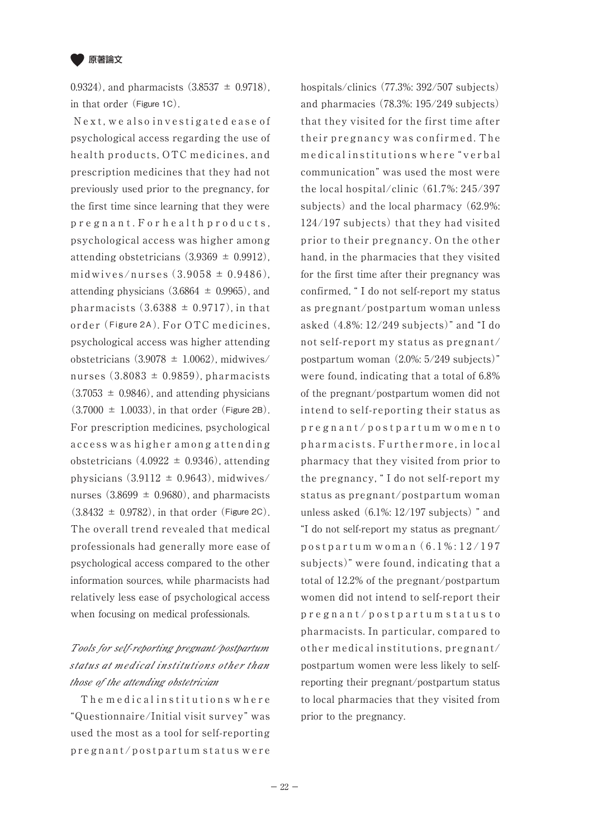

0.9324), and pharmacists  $(3.8537 \pm 0.9718)$ , in that order (Figure 1C).

Next, we also investigated ease of psychological access regarding the use of health products, OTC medicines, and prescription medicines that they had not previously used prior to the pregnancy, for the first time since learning that they were p r e g n a n t . F o r h e a l t h p r o d u c t s , psychological access was higher among attending obstetricians  $(3.9369 \pm 0.9912)$ . midwives/nurses  $(3.9058 \pm 0.9486)$ , attending physicians  $(3.6864 \pm 0.9965)$ , and pharmacists  $(3.6388 \pm 0.9717)$ , in that order (Figure 2A). For OTC medicines, psychological access was higher attending obstetricians  $(3.9078 \pm 1.0062)$ , midwives nurses  $(3.8083 \pm 0.9859)$ , pharmacists  $(3.7053 \pm 0.9846)$ , and attending physicians  $(3.7000 \pm 1.0033)$ , in that order (Figure 2B). For prescription medicines, psychological access was higher among attending obstetricians  $(4.0922 \pm 0.9346)$ , attending physicians  $(3.9112 \pm 0.9643)$ , midwives/ nurses  $(3.8699 \pm 0.9680)$ , and pharmacists  $(3.8432 \pm 0.9782)$ , in that order (Figure 2C). The overall trend revealed that medical professionals had generally more ease of psychological access compared to the other information sources, while pharmacists had relatively less ease of psychological access when focusing on medical professionals.

# Tools for self-reporting pregnant/postpartum status at medical institutions other than those of the attending obstetrician

The medical institutions where "Questionnaire/Initial visit survey" was used the most as a tool for self-reporting p r e g n a n t / p o s t p a r t u m s t a t u s w e r e

hospitals/clinics (77.3%: 392/507 subjects) and pharmacies (78.3%: 195/249 subjects) that they visited for the first time after their pregnancy was confirmed. The medical institutions where "verbal communication" was used the most were the local hospital/clinic (61.7%: 245/397 subjects) and the local pharmacy (62.9%: 124/197 subjects) that they had visited prior to their pregnancy. On the other hand, in the pharmacies that they visited for the first time after their pregnancy was confirmed, " I do not self-report my status as pregnant/postpartum woman unless asked (4.8%: 12/249 subjects)" and "I do not self-report my status as pregnant/ postpartum woman (2.0%: 5/249 subjects)" were found, indicating that a total of 6.8% of the pregnant/postpartum women did not intend to self-reporting their status as p r e g n a n t / p o s t p a r t u m w o m e n t o pharmacists. Furthermore, in local pharmacy that they visited from prior to the pregnancy, " I do not self-report my status as pregnant/postpartum woman unless asked (6.1%: 12/197 subjects) " and "I do not self-report my status as pregnant/ p o s t p a r t u m w o m a n ( 6 . 1 % : 1 2 / 1 9 7 subjects)" were found, indicating that a total of 12.2% of the pregnant/postpartum women did not intend to self-report their p r e g n a n t / p o s t p a r t u m s t a t u s t o pharmacists. In particular, compared to other medical institutions, pregnant/ postpartum women were less likely to selfreporting their pregnant/postpartum status to local pharmacies that they visited from prior to the pregnancy.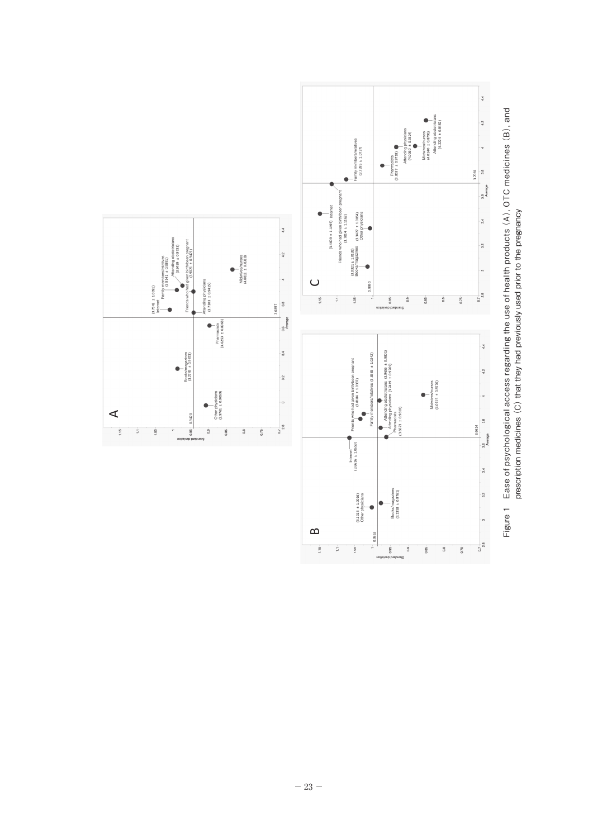

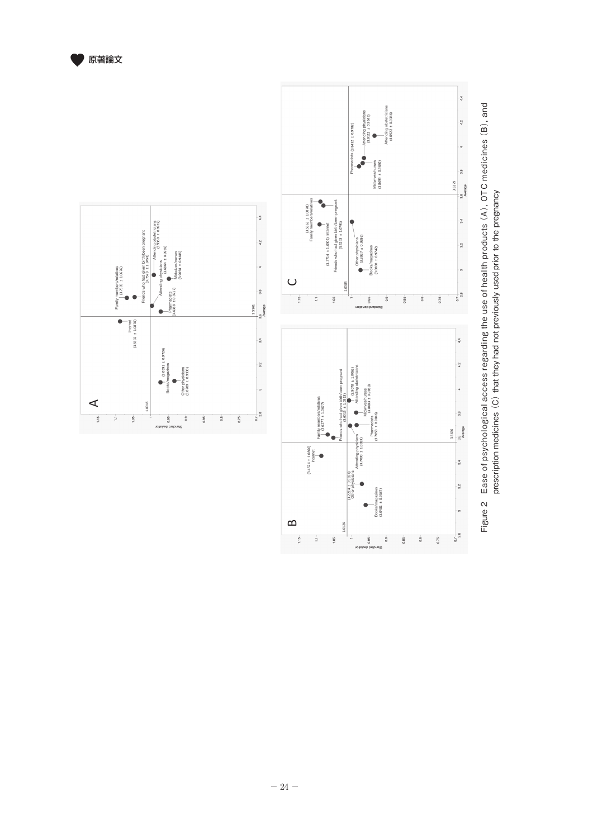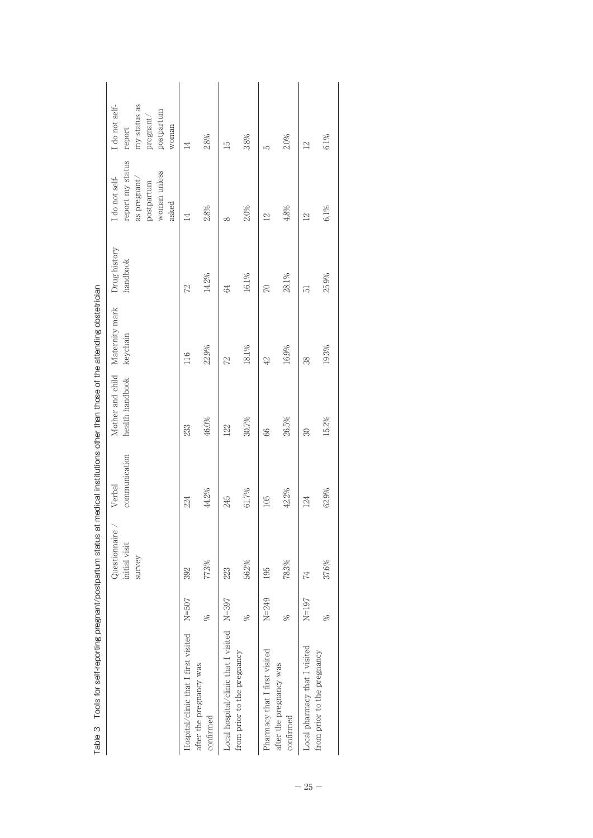|                                      |               | Questionnaire<br>initial visit<br>survey | communication<br>Verbal | Mother and child<br>health handbook | Maternity mark<br>keychain | Drug history<br>handbook | report my status<br>woman unless<br>I do not self-<br>as pregnant/<br>postpartum<br>asked | my status as<br>I do not self-<br>postpartum<br>pregnant/<br>woman<br>report |
|--------------------------------------|---------------|------------------------------------------|-------------------------|-------------------------------------|----------------------------|--------------------------|-------------------------------------------------------------------------------------------|------------------------------------------------------------------------------|
| Hospital/clinic that I first visited | $N = 507$     | 392                                      | 224                     | 233                                 | 116                        | 72                       | $\overline{14}$                                                                           | $\overline{14}$                                                              |
| after the pregnancy was<br>confirmed | $\frac{8}{2}$ | 77.3%                                    | 44.2%                   | 46.0%                               | 22.9%                      | 14.2%                    | 2.8%                                                                                      | 2.8%                                                                         |
| Local hospital/clinic that I visited | $N = 397$     | 223                                      | 245                     | 122                                 | 22                         | \$                       | $\infty$                                                                                  | $\overline{15}$                                                              |
| from prior to the pregnancy          | $\frac{8}{2}$ | 56.2%                                    | 61.7%                   | 30.7%                               | 18.1%                      | 16.1%                    | 2.0%                                                                                      | 3.8%                                                                         |
| Pharmacy that I first visited        | $N=249$       | 195                                      | 105                     | 86                                  | 42                         | $\overline{C}$           | $\overline{2}$                                                                            | 5                                                                            |
| after the pregnancy was<br>confirmed | $\frac{8}{2}$ | 78.3%                                    | 42.2%                   | 26.5%                               | 16.9%                      | 28.1%                    | 4.8%                                                                                      | 2.0%                                                                         |
| Local pharmacy that I visited        | $N=197$       | 74                                       | 124                     | 30                                  | 38                         | 51                       | $\overline{2}$                                                                            | $\overline{2}$                                                               |
| from prior to the pregnancy          | $\frac{8}{2}$ | 37.6%                                    | 62.9%                   | 15.2%                               | 19.3%                      | 25.9%                    | $6.1\%$                                                                                   | $6.1\%$                                                                      |

| j                        |
|--------------------------|
|                          |
|                          |
|                          |
| 7                        |
| ֡֡֡֡֡֡֡֡֡                |
|                          |
|                          |
| j                        |
| Ï<br>١                   |
|                          |
|                          |
|                          |
|                          |
| Ì<br>$\zeta$<br>þ        |
|                          |
| ļ                        |
| ֕<br>j<br>ׇ֚֘֡           |
|                          |
| i<br>$\overline{ }$      |
| $\mathbf{I}$<br>֧֖֚֚֚֬֝֬ |
|                          |
| l<br>١                   |
|                          |
|                          |
|                          |
|                          |
| ï                        |
|                          |
|                          |
|                          |
| i                        |
|                          |
|                          |
| $\ddot{ }$               |
|                          |
| j                        |
|                          |
| j<br>j<br>Ç              |
|                          |
|                          |
|                          |
| l<br>֠                   |
| ĵ<br>j                   |
| ļ<br>֚֚֚֬                |
| ţ<br>Į                   |
| j                        |
| I                        |
|                          |
| j<br>ׇ֚֘                 |
|                          |
|                          |
| j                        |
| l                        |
|                          |
| ∶<br>l                   |
| l                        |
|                          |
|                          |
| )<br>ï                   |
| Ï                        |
| able                     |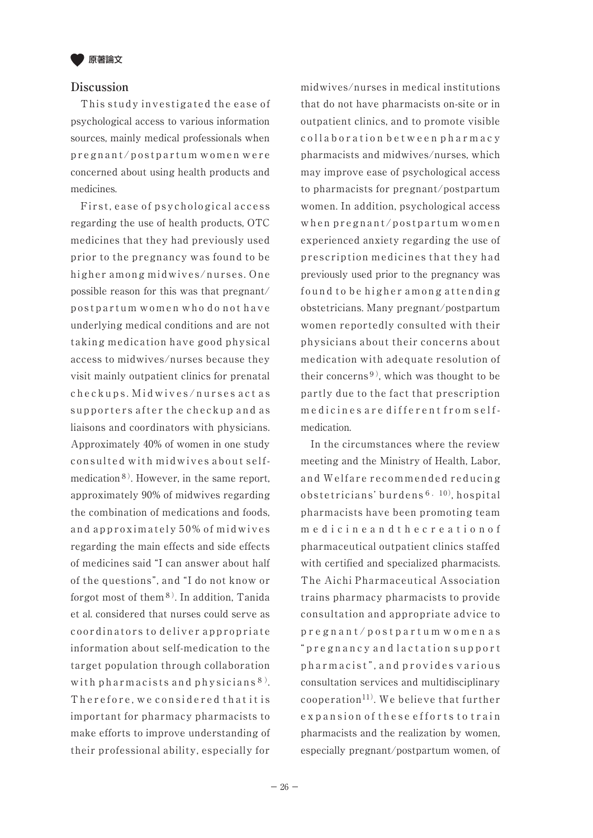

### **Discussion**

 This study investigated the ease of psychological access to various information sources, mainly medical professionals when pregnant/postpartum women were concerned about using health products and medicines.

 First, ease of psychological access regarding the use of health products, OTC medicines that they had previously used prior to the pregnancy was found to be higher among midwives/nurses. One possible reason for this was that pregnant/ postpartum women who do not have underlying medical conditions and are not taking medication have good physical access to midwives/nurses because they visit mainly outpatient clinics for prenatal checkups. Midwives/nurses act as supporters after the checkup and as liaisons and coordinators with physicians. Approximately 40% of women in one study consulted with midwives about selfmedication<sup>8)</sup>. However, in the same report, approximately 90% of midwives regarding the combination of medications and foods, and approximately 50% of midwives regarding the main effects and side effects of medicines said "I can answer about half of the questions", and "I do not know or forgot most of them<sup>8)</sup>. In addition, Tanida et al. considered that nurses could serve as coordinators to deliver appropriate information about self-medication to the target population through collaboration with pharmacists and physicians<sup>8)</sup>. Therefore, we considered that it is important for pharmacy pharmacists to make efforts to improve understanding of their professional ability, especially for

midwives/nurses in medical institutions that do not have pharmacists on-site or in outpatient clinics, and to promote visible collaboration between pharmacy pharmacists and midwives/nurses, which may improve ease of psychological access to pharmacists for pregnant/postpartum women. In addition, psychological access when pregnant/postpartum women experienced anxiety regarding the use of prescription medicines that they had previously used prior to the pregnancy was found to be higher among attending obstetricians. Many pregnant/postpartum women reportedly consulted with their physicians about their concerns about medication with adequate resolution of their concerns<sup>9)</sup>, which was thought to be partly due to the fact that prescription m e dicines are different from selfmedication.

 In the circumstances where the review meeting and the Ministry of Health, Labor, and Welfare recommended reducing obstetricians' burdens6,10), hospital pharmacists have been promoting team m e d i c i n e a n d t h e c r e a t i o n o f pharmaceutical outpatient clinics staffed with certified and specialized pharmacists. The Aichi Pharmaceutical Association trains pharmacy pharmacists to provide consultation and appropriate advice to p r e g n a n t / p o s t p a r t u m w o m e n a s " p r e g n a n c y a n d l a c t a t i o n s u p p o r t pharmacist", and provides various consultation services and multidisciplinary cooperation<sup>11)</sup>. We believe that further e x p a n s i o n o f the se efforts to train pharmacists and the realization by women, especially pregnant/postpartum women, of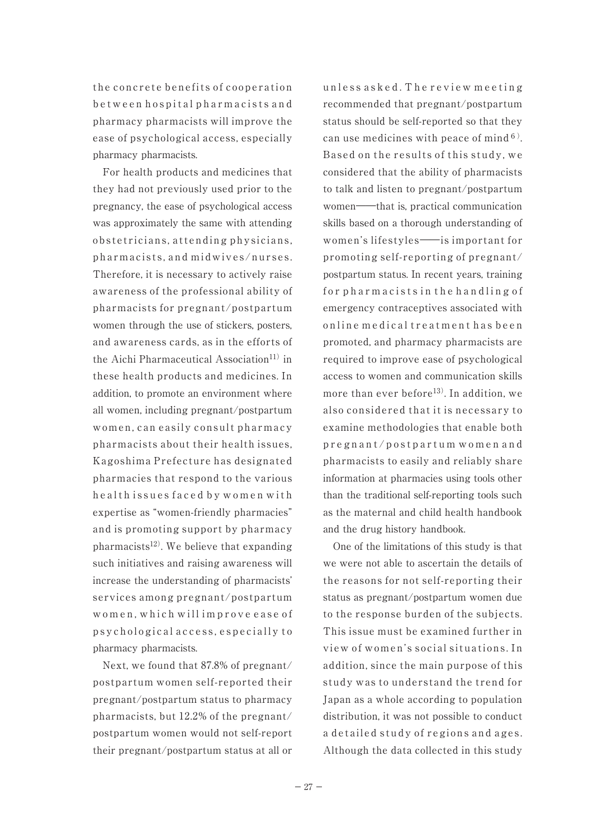the concrete benefits of cooperation b e t w e e n h o s p i t a l p h a r m a c i s t s a n d pharmacy pharmacists will improve the ease of psychological access, especially pharmacy pharmacists.

 For health products and medicines that they had not previously used prior to the pregnancy, the ease of psychological access was approximately the same with attending obstetricians, attending physicians, pharmacists, and midwives/nurses. Therefore, it is necessary to actively raise awareness of the professional ability of pharmacists for pregnant/postpartum women through the use of stickers, posters, and awareness cards, as in the efforts of the Aichi Pharmaceutical Association<sup>11)</sup> in these health products and medicines. In addition, to promote an environment where all women, including pregnant/postpartum women, can easily consult pharmacy pharmacists about their health issues, Kagoshima Prefecture has designated pharmacies that respond to the various h e alth issues faced by women with expertise as "women-friendly pharmacies" and is promoting support by pharmacy pharmacists<sup>12)</sup>. We believe that expanding such initiatives and raising awareness will increase the understanding of pharmacists' services among pregnant/postpartum women, which will improve ease of p s y c h o l o g i c a l a c c e s s, e s p e c i all y t o pharmacy pharmacists.

 Next, we found that 87.8% of pregnant/ postpartum women self-reported their pregnant/postpartum status to pharmacy pharmacists, but 12.2% of the pregnant/ postpartum women would not self-report their pregnant/postpartum status at all or

un less as k e d. The review meeting recommended that pregnant/postpartum status should be self-reported so that they can use medicines with peace of mind<sup>6)</sup>. Based on the results of this study, we considered that the ability of pharmacists to talk and listen to pregnant/postpartum women――that is, practical communication skills based on a thorough understanding of women's lifestyles――is important for promoting self-reporting of pregnant/ postpartum status. In recent years, training for pharmacists in the handling of emergency contraceptives associated with on line medical treatment has been promoted, and pharmacy pharmacists are required to improve ease of psychological access to women and communication skills more than ever before<sup>13)</sup>. In addition, we also considered that it is necessary to examine methodologies that enable both p r e g n a n t / p o s t p a r t u m w o m e n a n d pharmacists to easily and reliably share information at pharmacies using tools other than the traditional self-reporting tools such as the maternal and child health handbook and the drug history handbook.

 One of the limitations of this study is that we were not able to ascertain the details of the reasons for not self-reporting their status as pregnant/postpartum women due to the response burden of the subjects. This issue must be examined further in view of women's social situations. In addition, since the main purpose of this study was to understand the trend for Japan as a whole according to population distribution, it was not possible to conduct a detailed study of regions and ages. Although the data collected in this study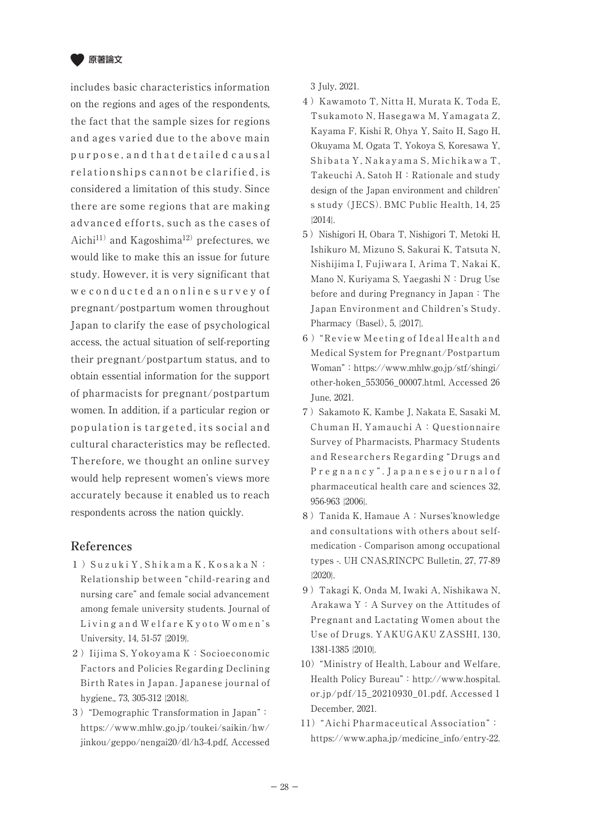

includes basic characteristics information on the regions and ages of the respondents, the fact that the sample sizes for regions and ages varied due to the above main p u r p o s e , a n d t h a t d e t a i l e d c a u s a l relationships cannot be clarified, is considered a limitation of this study. Since there are some regions that are making advanced efforts, such as the cases of Aichi<sup>11)</sup> and Kagoshima<sup>12)</sup> prefectures, we would like to make this an issue for future study. However, it is very significant that we conducted an online survey of pregnant/postpartum women throughout Japan to clarify the ease of psychological access, the actual situation of self-reporting their pregnant/postpartum status, and to obtain essential information for the support of pharmacists for pregnant/postpartum women. In addition, if a particular region or population is targeted, its social and cultural characteristics may be reflected. Therefore, we thought an online survey would help represent women's views more accurately because it enabled us to reach respondents across the nation quickly.

## **References**

- 1 )S u z u k i Y , S h i k a m a K , K o s a k a N : Relationship between "child-rearing and nursing care" and female social advancement among female university students. Journal of Living and Welfare Kyoto Women's University, 14, 51-57 {2019}.
- 2) Iijima S, Yokoyama K: Socioeconomic Factors and Policies Regarding Declining Birth Rates in Japan. Japanese journal of hygiene., 73, 305-312 {2018}.
- 3)"Demographic Transformation in Japan": https://www.mhlw.go.jp/toukei/saikin/hw/ jinkou/geppo/nengai20/dl/h3-4.pdf, Accessed

3 July, 2021.

- 4) Kawamoto T, Nitta H, Murata K, Toda E, Tsukamoto N, Hasegawa M, Yamagata Z, Kayama F, Kishi R, Ohya Y, Saito H, Sago H, Okuyama M, Ogata T, Yokoya S, Koresawa Y, Shibata Y, Nakayama S, Michikawa T, Takeuchi A, Satoh H: Rationale and study design of the Japan environment and children' s study (JECS). BMC Public Health, 14, 25 {2014}.
- 5) Nishigori H, Obara T, Nishigori T, Metoki H, Ishikuro M, Mizuno S, Sakurai K, Tatsuta N, Nishijima I, Fujiwara I, Arima T, Nakai K, Mano N, Kuriyama S, Yaegashi N:Drug Use before and during Pregnancy in Japan: The Japan Environment and Children's Study. Pharmacy (Basel), 5, {2017}.
- 6)"Review Meeting of Ideal Health and Medical System for Pregnant/Postpartum Woman":https://www.mhlw.go.jp/stf/shingi/ other-hoken\_553056\_00007.html, Accessed 26 June, 2021.
- 7)Sakamoto K, Kambe J, Nakata E, Sasaki M, Chuman H, Yamauchi A:Questionnaire Survey of Pharmacists, Pharmacy Students and Researchers Regarding "Drugs and P r e g n a n c y " . J a p a n e s e j o u r n a l o f pharmaceutical health care and sciences 32, 956-963 {2006}.
- 8) Tanida K, Hamaue A: Nurses'knowledge and consultations with others about selfmedication - Comparison among occupational types -. UH CNAS,RINCPC Bulletin, 27, 77-89 {2020}.
- 9)Takagi K, Onda M, Iwaki A, Nishikawa N, Arakawa Y:A Survey on the Attitudes of Pregnant and Lactating Women about the Use of Drugs. YAKUGAKU ZASSHI, 130, 1381-1385 {2010}.
- 10)"Ministry of Health, Labour and Welfare, Health Policy Bureau": http://www.hospital. or.jp/pdf/15\_20210930\_01.pdf, Accessed 1 December, 2021.
- 11)"Aichi Pharmaceutical Association": https://www.apha.jp/medicine\_info/entry-22.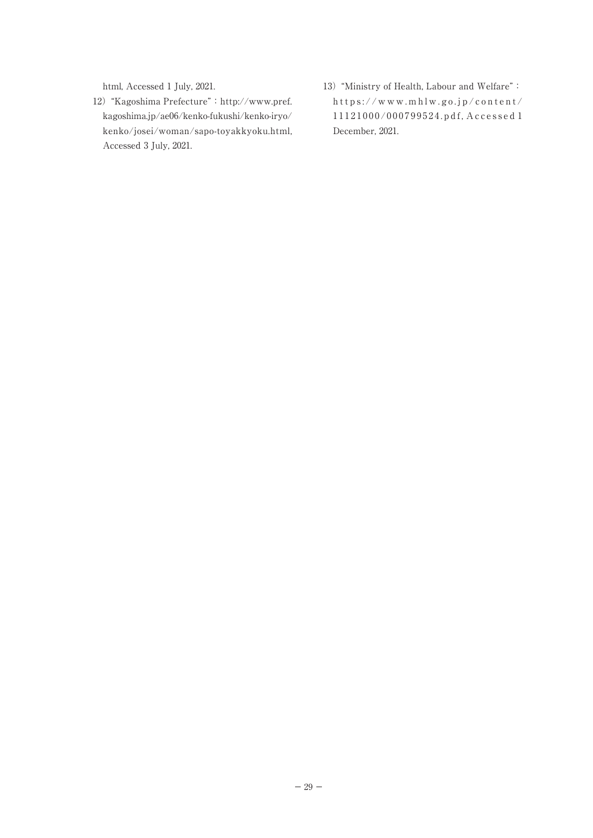html, Accessed 1 July, 2021.

- 12)"Kagoshima Prefecture":http://www.pref. kagoshima.jp/ae06/kenko-fukushi/kenko-iryo/ kenko/josei/woman/sapo-toyakkyoku.html, Accessed 3 July, 2021.
- 13)"Ministry of Health, Labour and Welfare": https://www.mhlw.go.jp/content/ 1 1 1 2 1 0 0 0 / 0 0 0 7 9 9 5 2 4 . p d f , A c c e s s e d 1 December, 2021.